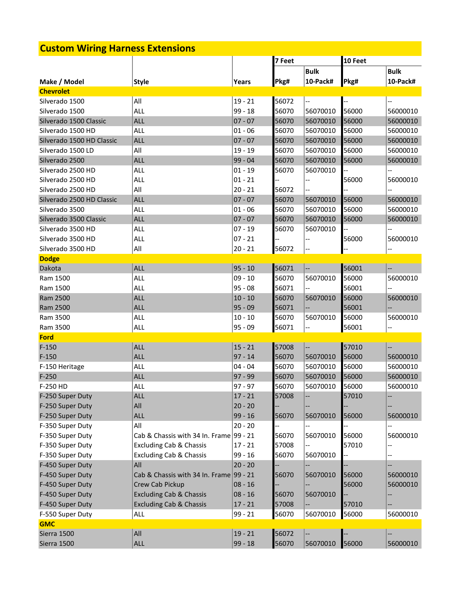## **Custom Wiring Harness Extensions**

|                           |                                         |             | 7 Feet |                          | 10 Feet |             |
|---------------------------|-----------------------------------------|-------------|--------|--------------------------|---------|-------------|
|                           |                                         |             |        | <b>Bulk</b>              |         | <b>Bulk</b> |
| Make / Model              | <b>Style</b>                            | Years       | Pkg#   | 10-Pack#                 | Pkg#    | 10-Pack#    |
| <b>Chevrolet</b>          |                                         |             |        |                          |         |             |
| Silverado 1500            | All                                     | $19 - 21$   | 56072  |                          |         |             |
| Silverado 1500            | <b>ALL</b>                              | 99 - 18     | 56070  | 56070010                 | 56000   | 56000010    |
| Silverado 1500 Classic    | <b>ALL</b>                              | $07 - 07$   | 56070  | 56070010                 | 56000   | 56000010    |
| Silverado 1500 HD         | <b>ALL</b>                              | $01 - 06$   | 56070  | 56070010                 | 56000   | 56000010    |
| Silverado 1500 HD Classic | <b>ALL</b>                              | $07 - 07$   | 56070  | 56070010                 | 56000   | 56000010    |
| Silverado 1500 LD         | All                                     | $19 - 19$   | 56070  | 56070010                 | 56000   | 56000010    |
| Silverado 2500            | <b>ALL</b>                              | 99 - 04     | 56070  | 56070010                 | 56000   | 56000010    |
| Silverado 2500 HD         | ALL                                     | $01 - 19$   | 56070  | 56070010                 |         |             |
| Silverado 2500 HD         | <b>ALL</b>                              | $01 - 21$   |        |                          | 56000   | 56000010    |
| Silverado 2500 HD         | All                                     | $20 - 21$   | 56072  |                          |         |             |
| Silverado 2500 HD Classic | <b>ALL</b>                              | $07 - 07$   | 56070  | 56070010                 | 56000   | 56000010    |
| Silverado 3500            | <b>ALL</b>                              | $01 - 06$   | 56070  | 56070010                 | 56000   | 56000010    |
| Silverado 3500 Classic    | <b>ALL</b>                              | $07 - 07$   | 56070  | 56070010                 | 56000   | 56000010    |
| Silverado 3500 HD         | ALL                                     | $07 - 19$   | 56070  | 56070010                 |         | $-$         |
| Silverado 3500 HD         | <b>ALL</b>                              | $ 07 - 21 $ |        |                          | 56000   | 56000010    |
| Silverado 3500 HD         | All                                     | $20 - 21$   | 56072  |                          |         |             |
| <b>Dodge</b>              |                                         |             |        |                          |         |             |
| Dakota                    | <b>ALL</b>                              | $95 - 10$   | 56071  | $\overline{\phantom{a}}$ | 56001   |             |
| Ram 1500                  | ALL                                     | $09 - 10$   | 56070  | 56070010                 | 56000   | 56000010    |
| Ram 1500                  | <b>ALL</b>                              | $95 - 08$   | 56071  |                          | 56001   |             |
| Ram 2500                  | <b>ALL</b>                              | $10 - 10$   | 56070  | 56070010                 | 56000   | 56000010    |
| Ram 2500                  | <b>ALL</b>                              | $95 - 09$   | 56071  |                          | 56001   |             |
| Ram 3500                  | <b>ALL</b>                              | $10 - 10$   | 56070  | 56070010                 | 56000   | 56000010    |
| Ram 3500                  | <b>ALL</b>                              | $95 - 09$   | 56071  | --                       | 56001   | --          |
| <b>Ford</b>               |                                         |             |        |                          |         |             |
| $F-150$                   | <b>ALL</b>                              | $15 - 21$   | 57008  | <u></u>                  | 57010   |             |
| $F-150$                   | <b>ALL</b>                              | $97 - 14$   | 56070  | 56070010                 | 56000   | 56000010    |
| F-150 Heritage            | <b>ALL</b>                              | $04 - 04$   | 56070  | 56070010                 | 56000   | 56000010    |
| $F-250$                   | <b>ALL</b>                              | $97 - 99$   | 56070  | 56070010                 | 56000   | 56000010    |
| F-250 HD                  | <b>ALL</b>                              | $97 - 97$   | 56070  | 56070010                 | 56000   | 56000010    |
| F-250 Super Duty          | <b>ALL</b>                              | $17 - 21$   | 57008  |                          | 57010   |             |
| F-250 Super Duty          | All                                     | $20 - 20$   |        |                          |         |             |
| F-250 Super Duty          | <b>ALL</b>                              | $99 - 16$   | 56070  | 56070010                 | 56000   | 56000010    |
| F-350 Super Duty          | All                                     | $20 - 20$   |        | --                       |         |             |
| F-350 Super Duty          | Cab & Chassis with 34 In. Frame 99 - 21 |             | 56070  | 56070010                 | 56000   | 56000010    |
| F-350 Super Duty          | <b>Excluding Cab &amp; Chassis</b>      | $17 - 21$   | 57008  | $\overline{\phantom{a}}$ | 57010   | --          |
| F-350 Super Duty          | <b>Excluding Cab &amp; Chassis</b>      | $99 - 16$   | 56070  | 56070010                 |         |             |
| F-450 Super Duty          | All                                     | $20 - 20$   |        |                          |         |             |
| F-450 Super Duty          | Cab & Chassis with 34 In. Frame 99 - 21 |             | 56070  | 56070010                 | 56000   | 56000010    |
| F-450 Super Duty          | Crew Cab Pickup                         | $08 - 16$   |        | --                       | 56000   | 56000010    |
| F-450 Super Duty          | <b>Excluding Cab &amp; Chassis</b>      | $08 - 16$   | 56070  | 56070010                 |         | --          |
| F-450 Super Duty          | <b>Excluding Cab &amp; Chassis</b>      | $17 - 21$   | 57008  | $\overline{\phantom{a}}$ | 57010   |             |
| F-550 Super Duty          | <b>ALL</b>                              | $99 - 21$   | 56070  | 56070010                 | 56000   | 56000010    |
| <b>GMC</b>                |                                         |             |        |                          |         |             |
| Sierra 1500               | All                                     | $19 - 21$   | 56072  |                          |         |             |
| Sierra 1500               | <b>ALL</b>                              | $99 - 18$   | 56070  | 56070010                 | 56000   | 56000010    |